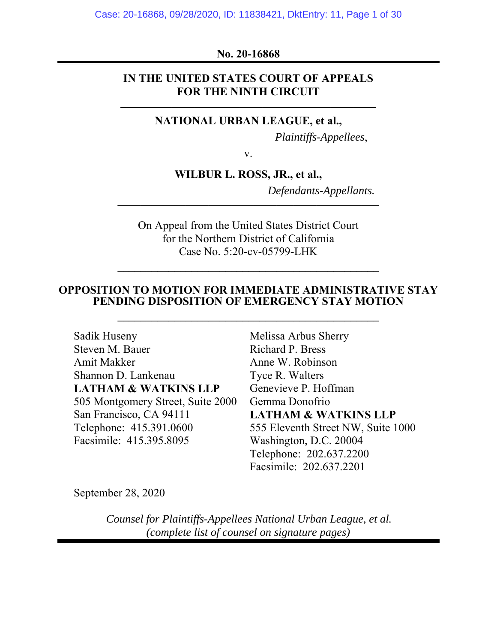## **No. 20-16868**

## **IN THE UNITED STATES COURT OF APPEALS**  FOR THE NINTH CIRCUIT

## **NATIONAL URBAN LEAGUE, et al.,**

 *Plaintiffs-Appellees*,

v.

**WILBUR L. ROSS, JR., et al.,** 

 *Defendants-Appellants.* **\_\_\_\_\_\_\_\_\_\_\_\_\_\_\_\_\_\_\_\_\_\_\_\_\_\_\_\_\_\_\_\_\_\_\_\_\_\_\_\_\_\_\_\_\_\_** 

On Appeal from the United States District Court for the Northern District of California Case No. 5:20-cv-05799-LHK

### **OPPOSITION TO MOTION FOR IMMEDIATE ADMINISTRATIVE STAY PENDING DISPOSITION OF EMERGENCY STAY MOTION**

**\_\_\_\_\_\_\_\_\_\_\_\_\_\_\_\_\_\_\_\_\_\_\_\_\_\_\_\_\_\_\_\_\_\_\_\_\_\_\_\_\_\_\_\_\_\_** 

Sadik Huseny Steven M. Bauer Amit Makker Shannon D. Lankenau **LATHAM & WATKINS LLP**  505 Montgomery Street, Suite 2000 San Francisco, CA 94111 Telephone: 415.391.0600 Facsimile: 415.395.8095

Melissa Arbus Sherry Richard P. Bress Anne W. Robinson Tyce R. Walters Genevieve P. Hoffman Gemma Donofrio **LATHAM & WATKINS LLP**  555 Eleventh Street NW, Suite 1000 Washington, D.C. 20004 Telephone: 202.637.2200 Facsimile: 202.637.2201

September 28, 2020

*Counsel for Plaintiffs-Appellees National Urban League, et al. (complete list of counsel on signature pages)*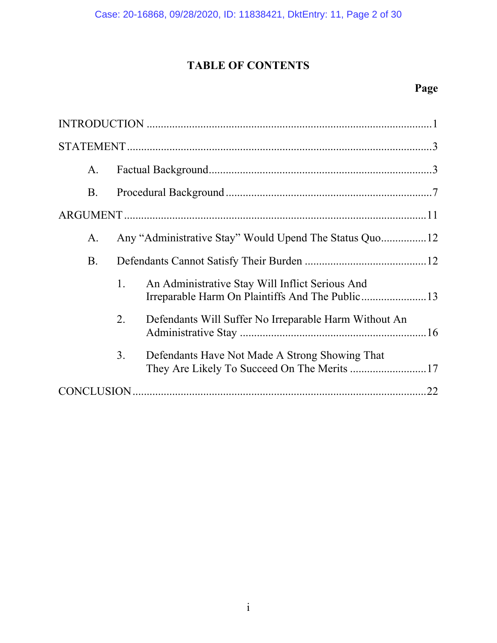# **TABLE OF CONTENTS**

## **Page**

| A.        |    |                                                                                               |
|-----------|----|-----------------------------------------------------------------------------------------------|
| <b>B.</b> |    |                                                                                               |
|           |    |                                                                                               |
| А.        |    |                                                                                               |
| <b>B.</b> |    |                                                                                               |
|           | 1. | An Administrative Stay Will Inflict Serious And                                               |
|           | 2. | Defendants Will Suffer No Irreparable Harm Without An                                         |
|           | 3. | Defendants Have Not Made A Strong Showing That<br>They Are Likely To Succeed On The Merits 17 |
|           |    |                                                                                               |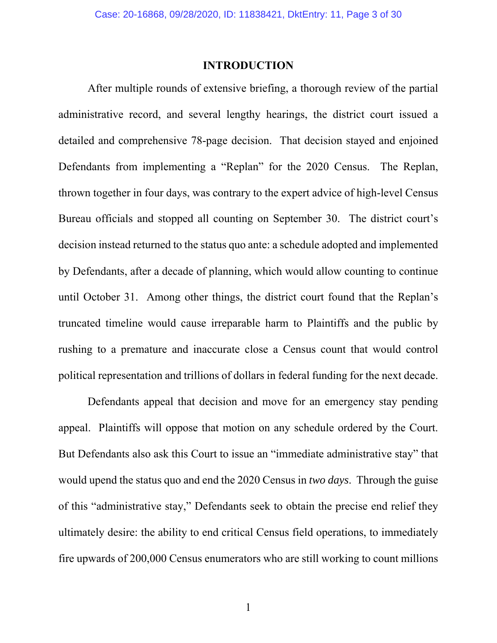### **INTRODUCTION**

After multiple rounds of extensive briefing, a thorough review of the partial administrative record, and several lengthy hearings, the district court issued a detailed and comprehensive 78-page decision. That decision stayed and enjoined Defendants from implementing a "Replan" for the 2020 Census. The Replan, thrown together in four days, was contrary to the expert advice of high-level Census Bureau officials and stopped all counting on September 30. The district court's decision instead returned to the status quo ante: a schedule adopted and implemented by Defendants, after a decade of planning, which would allow counting to continue until October 31. Among other things, the district court found that the Replan's truncated timeline would cause irreparable harm to Plaintiffs and the public by rushing to a premature and inaccurate close a Census count that would control political representation and trillions of dollars in federal funding for the next decade.

Defendants appeal that decision and move for an emergency stay pending appeal. Plaintiffs will oppose that motion on any schedule ordered by the Court. But Defendants also ask this Court to issue an "immediate administrative stay" that would upend the status quo and end the 2020 Census in *two days*. Through the guise of this "administrative stay," Defendants seek to obtain the precise end relief they ultimately desire: the ability to end critical Census field operations, to immediately fire upwards of 200,000 Census enumerators who are still working to count millions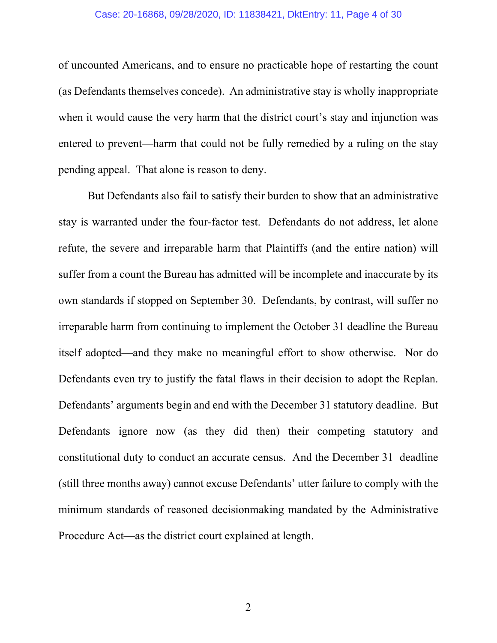#### Case: 20-16868, 09/28/2020, ID: 11838421, DktEntry: 11, Page 4 of 30

of uncounted Americans, and to ensure no practicable hope of restarting the count (as Defendants themselves concede). An administrative stay is wholly inappropriate when it would cause the very harm that the district court's stay and injunction was entered to prevent—harm that could not be fully remedied by a ruling on the stay pending appeal. That alone is reason to deny.

But Defendants also fail to satisfy their burden to show that an administrative stay is warranted under the four-factor test. Defendants do not address, let alone refute, the severe and irreparable harm that Plaintiffs (and the entire nation) will suffer from a count the Bureau has admitted will be incomplete and inaccurate by its own standards if stopped on September 30. Defendants, by contrast, will suffer no irreparable harm from continuing to implement the October 31 deadline the Bureau itself adopted—and they make no meaningful effort to show otherwise. Nor do Defendants even try to justify the fatal flaws in their decision to adopt the Replan. Defendants' arguments begin and end with the December 31 statutory deadline. But Defendants ignore now (as they did then) their competing statutory and constitutional duty to conduct an accurate census. And the December 31 deadline (still three months away) cannot excuse Defendants' utter failure to comply with the minimum standards of reasoned decisionmaking mandated by the Administrative Procedure Act—as the district court explained at length.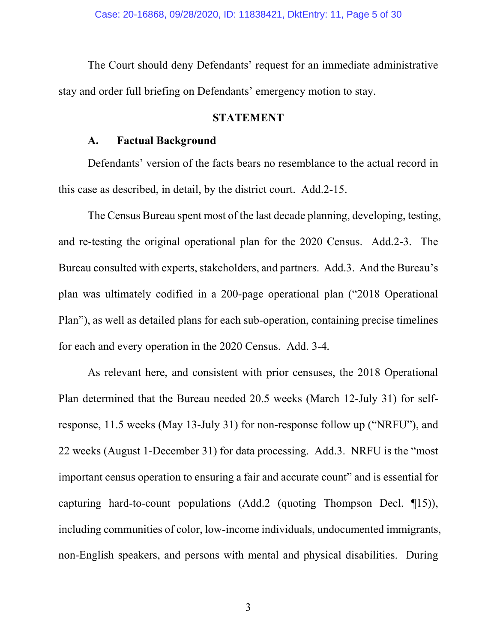The Court should deny Defendants' request for an immediate administrative stay and order full briefing on Defendants' emergency motion to stay.

### **STATEMENT**

### **A. Factual Background**

Defendants' version of the facts bears no resemblance to the actual record in this case as described, in detail, by the district court. Add.2-15.

The Census Bureau spent most of the last decade planning, developing, testing, and re-testing the original operational plan for the 2020 Census. Add.2-3. The Bureau consulted with experts, stakeholders, and partners. Add.3. And the Bureau's plan was ultimately codified in a 200-page operational plan ("2018 Operational Plan"), as well as detailed plans for each sub-operation, containing precise timelines for each and every operation in the 2020 Census. Add. 3-4*.* 

As relevant here, and consistent with prior censuses, the 2018 Operational Plan determined that the Bureau needed 20.5 weeks (March 12-July 31) for selfresponse, 11.5 weeks (May 13-July 31) for non-response follow up ("NRFU"), and 22 weeks (August 1-December 31) for data processing. Add.3. NRFU is the "most important census operation to ensuring a fair and accurate count" and is essential for capturing hard-to-count populations (Add.2 (quoting Thompson Decl. ¶15)), including communities of color, low-income individuals, undocumented immigrants, non-English speakers, and persons with mental and physical disabilities. During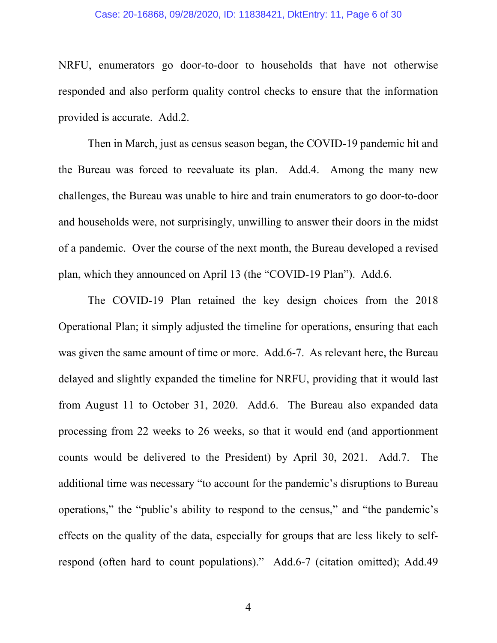#### Case: 20-16868, 09/28/2020, ID: 11838421, DktEntry: 11, Page 6 of 30

NRFU, enumerators go door-to-door to households that have not otherwise responded and also perform quality control checks to ensure that the information provided is accurate. Add.2.

Then in March, just as census season began, the COVID-19 pandemic hit and the Bureau was forced to reevaluate its plan. Add.4. Among the many new challenges, the Bureau was unable to hire and train enumerators to go door-to-door and households were, not surprisingly, unwilling to answer their doors in the midst of a pandemic. Over the course of the next month, the Bureau developed a revised plan, which they announced on April 13 (the "COVID-19 Plan"). Add.6.

The COVID-19 Plan retained the key design choices from the 2018 Operational Plan; it simply adjusted the timeline for operations, ensuring that each was given the same amount of time or more. Add.6-7. As relevant here, the Bureau delayed and slightly expanded the timeline for NRFU, providing that it would last from August 11 to October 31, 2020. Add.6. The Bureau also expanded data processing from 22 weeks to 26 weeks, so that it would end (and apportionment counts would be delivered to the President) by April 30, 2021. Add.7. The additional time was necessary "to account for the pandemic's disruptions to Bureau operations," the "public's ability to respond to the census," and "the pandemic's effects on the quality of the data, especially for groups that are less likely to selfrespond (often hard to count populations)." Add.6-7 (citation omitted); Add.49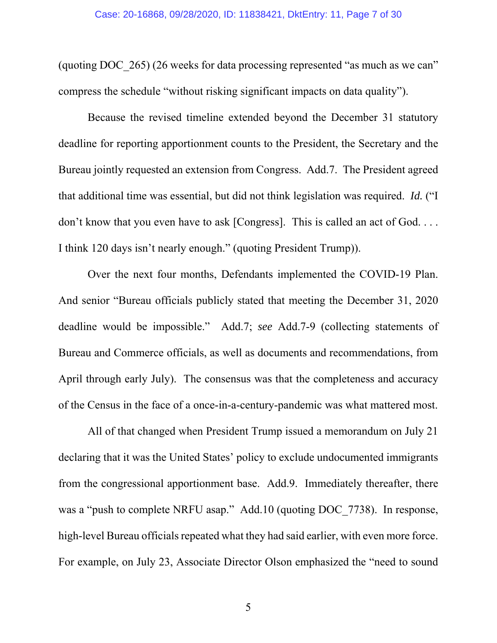(quoting DOC\_265) (26 weeks for data processing represented "as much as we can" compress the schedule "without risking significant impacts on data quality").

Because the revised timeline extended beyond the December 31 statutory deadline for reporting apportionment counts to the President, the Secretary and the Bureau jointly requested an extension from Congress. Add.7. The President agreed that additional time was essential, but did not think legislation was required. *Id.* ("I don't know that you even have to ask [Congress]. This is called an act of God. . . . I think 120 days isn't nearly enough." (quoting President Trump)).

Over the next four months, Defendants implemented the COVID-19 Plan. And senior "Bureau officials publicly stated that meeting the December 31, 2020 deadline would be impossible." Add.7; *see* Add.7-9 (collecting statements of Bureau and Commerce officials, as well as documents and recommendations, from April through early July). The consensus was that the completeness and accuracy of the Census in the face of a once-in-a-century-pandemic was what mattered most.

All of that changed when President Trump issued a memorandum on July 21 declaring that it was the United States' policy to exclude undocumented immigrants from the congressional apportionment base. Add.9. Immediately thereafter, there was a "push to complete NRFU asap." Add.10 (quoting DOC 7738). In response, high-level Bureau officials repeated what they had said earlier, with even more force. For example, on July 23, Associate Director Olson emphasized the "need to sound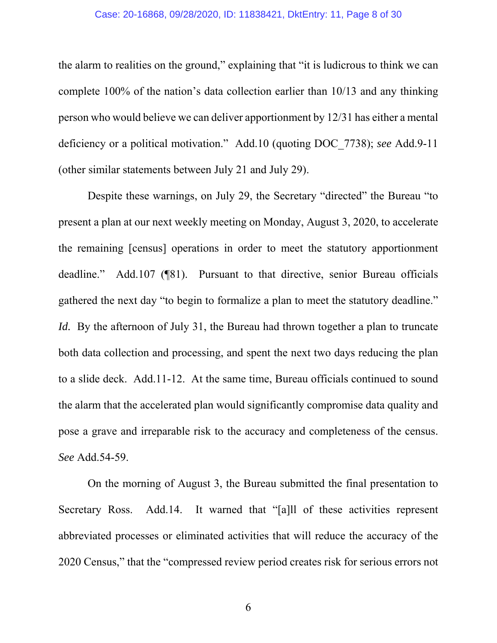#### Case: 20-16868, 09/28/2020, ID: 11838421, DktEntry: 11, Page 8 of 30

the alarm to realities on the ground," explaining that "it is ludicrous to think we can complete 100% of the nation's data collection earlier than 10/13 and any thinking person who would believe we can deliver apportionment by 12/31 has either a mental deficiency or a political motivation." Add.10 (quoting DOC\_7738); *see* Add.9-11 (other similar statements between July 21 and July 29).

Despite these warnings, on July 29, the Secretary "directed" the Bureau "to present a plan at our next weekly meeting on Monday, August 3, 2020, to accelerate the remaining [census] operations in order to meet the statutory apportionment deadline." Add.107 (¶81). Pursuant to that directive, senior Bureau officials gathered the next day "to begin to formalize a plan to meet the statutory deadline." *Id.* By the afternoon of July 31, the Bureau had thrown together a plan to truncate both data collection and processing, and spent the next two days reducing the plan to a slide deck. Add.11-12. At the same time, Bureau officials continued to sound the alarm that the accelerated plan would significantly compromise data quality and pose a grave and irreparable risk to the accuracy and completeness of the census. *See* Add.54-59.

On the morning of August 3, the Bureau submitted the final presentation to Secretary Ross. Add.14. It warned that "[a]ll of these activities represent abbreviated processes or eliminated activities that will reduce the accuracy of the 2020 Census," that the "compressed review period creates risk for serious errors not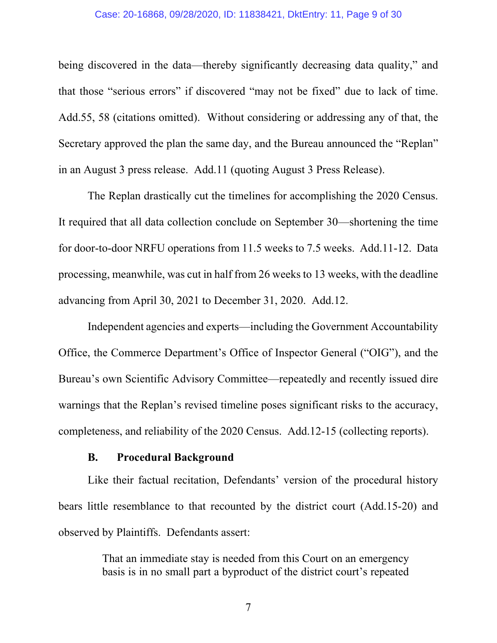#### Case: 20-16868, 09/28/2020, ID: 11838421, DktEntry: 11, Page 9 of 30

being discovered in the data—thereby significantly decreasing data quality," and that those "serious errors" if discovered "may not be fixed" due to lack of time. Add.55, 58 (citations omitted). Without considering or addressing any of that, the Secretary approved the plan the same day, and the Bureau announced the "Replan" in an August 3 press release. Add.11 (quoting August 3 Press Release).

The Replan drastically cut the timelines for accomplishing the 2020 Census. It required that all data collection conclude on September 30—shortening the time for door-to-door NRFU operations from 11.5 weeks to 7.5 weeks. Add.11-12. Data processing, meanwhile, was cut in half from 26 weeks to 13 weeks, with the deadline advancing from April 30, 2021 to December 31, 2020. Add.12.

Independent agencies and experts—including the Government Accountability Office, the Commerce Department's Office of Inspector General ("OIG"), and the Bureau's own Scientific Advisory Committee—repeatedly and recently issued dire warnings that the Replan's revised timeline poses significant risks to the accuracy, completeness, and reliability of the 2020 Census. Add.12-15 (collecting reports).

### **B. Procedural Background**

Like their factual recitation, Defendants' version of the procedural history bears little resemblance to that recounted by the district court (Add.15-20) and observed by Plaintiffs. Defendants assert:

> That an immediate stay is needed from this Court on an emergency basis is in no small part a byproduct of the district court's repeated

7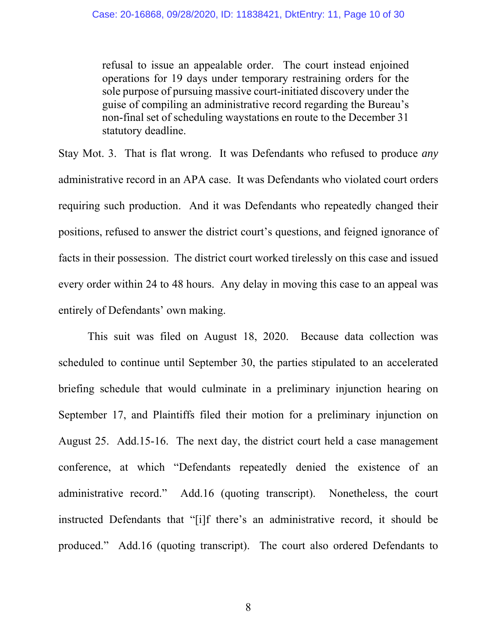refusal to issue an appealable order. The court instead enjoined operations for 19 days under temporary restraining orders for the sole purpose of pursuing massive court-initiated discovery under the guise of compiling an administrative record regarding the Bureau's non-final set of scheduling waystations en route to the December 31 statutory deadline.

Stay Mot. 3. That is flat wrong. It was Defendants who refused to produce *any* administrative record in an APA case. It was Defendants who violated court orders requiring such production. And it was Defendants who repeatedly changed their positions, refused to answer the district court's questions, and feigned ignorance of facts in their possession. The district court worked tirelessly on this case and issued every order within 24 to 48 hours. Any delay in moving this case to an appeal was entirely of Defendants' own making.

This suit was filed on August 18, 2020. Because data collection was scheduled to continue until September 30, the parties stipulated to an accelerated briefing schedule that would culminate in a preliminary injunction hearing on September 17, and Plaintiffs filed their motion for a preliminary injunction on August 25. Add.15-16. The next day, the district court held a case management conference, at which "Defendants repeatedly denied the existence of an administrative record." Add.16 (quoting transcript). Nonetheless, the court instructed Defendants that "[i]f there's an administrative record, it should be produced." Add.16 (quoting transcript). The court also ordered Defendants to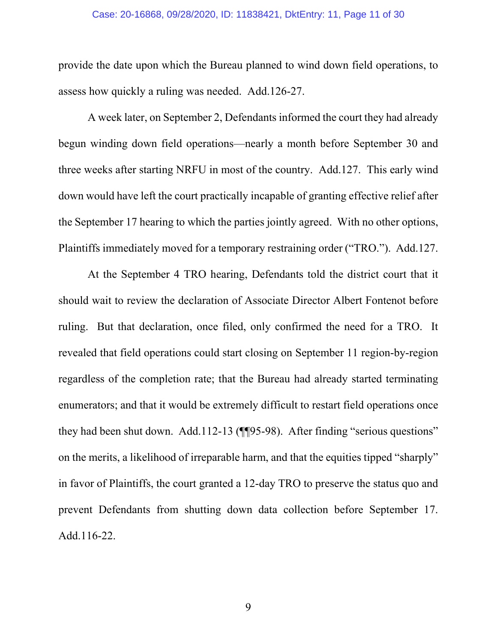#### Case: 20-16868, 09/28/2020, ID: 11838421, DktEntry: 11, Page 11 of 30

provide the date upon which the Bureau planned to wind down field operations, to assess how quickly a ruling was needed. Add.126-27.

A week later, on September 2, Defendants informed the court they had already begun winding down field operations—nearly a month before September 30 and three weeks after starting NRFU in most of the country. Add.127. This early wind down would have left the court practically incapable of granting effective relief after the September 17 hearing to which the parties jointly agreed. With no other options, Plaintiffs immediately moved for a temporary restraining order ("TRO."). Add.127.

At the September 4 TRO hearing, Defendants told the district court that it should wait to review the declaration of Associate Director Albert Fontenot before ruling. But that declaration, once filed, only confirmed the need for a TRO. It revealed that field operations could start closing on September 11 region-by-region regardless of the completion rate; that the Bureau had already started terminating enumerators; and that it would be extremely difficult to restart field operations once they had been shut down. Add.112-13 (¶¶95-98). After finding "serious questions" on the merits, a likelihood of irreparable harm, and that the equities tipped "sharply" in favor of Plaintiffs, the court granted a 12-day TRO to preserve the status quo and prevent Defendants from shutting down data collection before September 17. Add.116-22.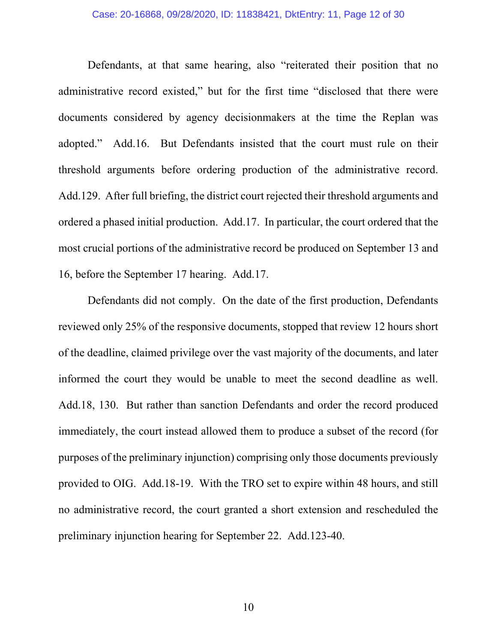#### Case: 20-16868, 09/28/2020, ID: 11838421, DktEntry: 11, Page 12 of 30

Defendants, at that same hearing, also "reiterated their position that no administrative record existed," but for the first time "disclosed that there were documents considered by agency decisionmakers at the time the Replan was adopted." Add.16. But Defendants insisted that the court must rule on their threshold arguments before ordering production of the administrative record. Add.129. After full briefing, the district court rejected their threshold arguments and ordered a phased initial production. Add.17. In particular, the court ordered that the most crucial portions of the administrative record be produced on September 13 and 16, before the September 17 hearing. Add.17.

Defendants did not comply. On the date of the first production, Defendants reviewed only 25% of the responsive documents, stopped that review 12 hours short of the deadline, claimed privilege over the vast majority of the documents, and later informed the court they would be unable to meet the second deadline as well. Add.18, 130. But rather than sanction Defendants and order the record produced immediately, the court instead allowed them to produce a subset of the record (for purposes of the preliminary injunction) comprising only those documents previously provided to OIG. Add.18-19. With the TRO set to expire within 48 hours, and still no administrative record, the court granted a short extension and rescheduled the preliminary injunction hearing for September 22. Add.123-40.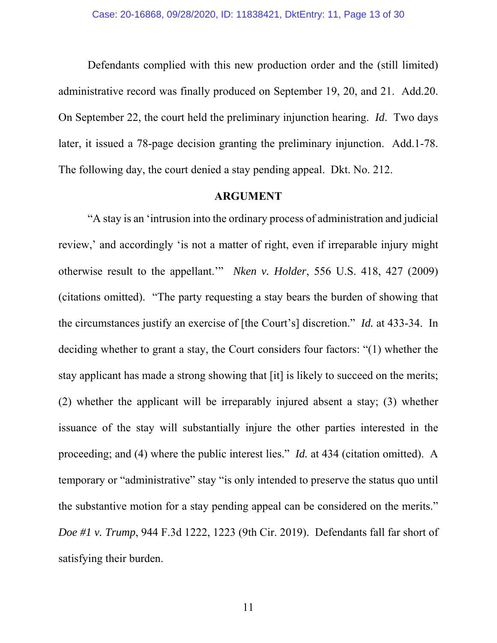Defendants complied with this new production order and the (still limited) administrative record was finally produced on September 19, 20, and 21. Add.20. On September 22, the court held the preliminary injunction hearing. *Id*. Two days later, it issued a 78-page decision granting the preliminary injunction. Add.1-78. The following day, the court denied a stay pending appeal. Dkt. No. 212.

### **ARGUMENT**

"A stay is an 'intrusion into the ordinary process of administration and judicial review,' and accordingly 'is not a matter of right, even if irreparable injury might otherwise result to the appellant.'" *Nken v. Holder*, 556 U.S. 418, 427 (2009) (citations omitted). "The party requesting a stay bears the burden of showing that the circumstances justify an exercise of [the Court's] discretion." *Id.* at 433-34. In deciding whether to grant a stay, the Court considers four factors: "(1) whether the stay applicant has made a strong showing that [it] is likely to succeed on the merits; (2) whether the applicant will be irreparably injured absent a stay; (3) whether issuance of the stay will substantially injure the other parties interested in the proceeding; and (4) where the public interest lies." *Id.* at 434 (citation omitted). A temporary or "administrative" stay "is only intended to preserve the status quo until the substantive motion for a stay pending appeal can be considered on the merits." *Doe #1 v. Trump*, 944 F.3d 1222, 1223 (9th Cir. 2019). Defendants fall far short of satisfying their burden.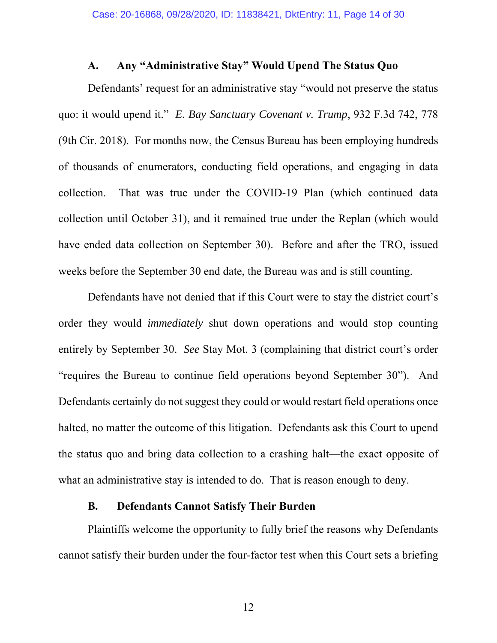## **A. Any "Administrative Stay" Would Upend The Status Quo**

Defendants' request for an administrative stay "would not preserve the status quo: it would upend it." *E. Bay Sanctuary Covenant v. Trump*, 932 F.3d 742, 778 (9th Cir. 2018). For months now, the Census Bureau has been employing hundreds of thousands of enumerators, conducting field operations, and engaging in data collection. That was true under the COVID-19 Plan (which continued data collection until October 31), and it remained true under the Replan (which would have ended data collection on September 30). Before and after the TRO, issued weeks before the September 30 end date, the Bureau was and is still counting.

Defendants have not denied that if this Court were to stay the district court's order they would *immediately* shut down operations and would stop counting entirely by September 30. *See* Stay Mot. 3 (complaining that district court's order "requires the Bureau to continue field operations beyond September 30"). And Defendants certainly do not suggest they could or would restart field operations once halted, no matter the outcome of this litigation. Defendants ask this Court to upend the status quo and bring data collection to a crashing halt—the exact opposite of what an administrative stay is intended to do. That is reason enough to deny.

## **B. Defendants Cannot Satisfy Their Burden**

Plaintiffs welcome the opportunity to fully brief the reasons why Defendants cannot satisfy their burden under the four-factor test when this Court sets a briefing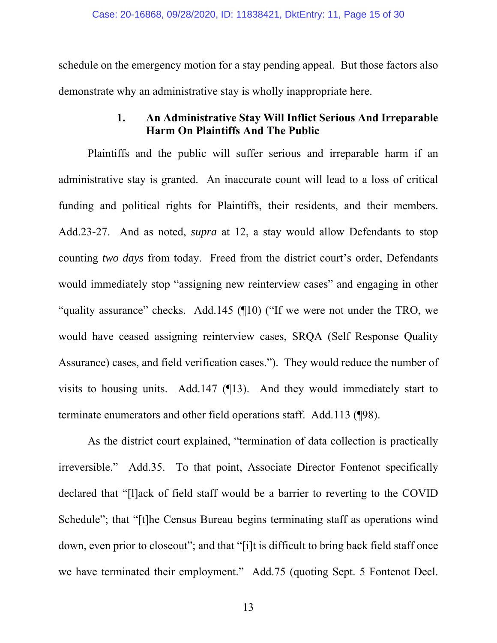schedule on the emergency motion for a stay pending appeal. But those factors also demonstrate why an administrative stay is wholly inappropriate here.

## **1. An Administrative Stay Will Inflict Serious And Irreparable Harm On Plaintiffs And The Public**

Plaintiffs and the public will suffer serious and irreparable harm if an administrative stay is granted. An inaccurate count will lead to a loss of critical funding and political rights for Plaintiffs, their residents, and their members. Add.23-27. And as noted, *supra* at 12, a stay would allow Defendants to stop counting *two days* from today. Freed from the district court's order, Defendants would immediately stop "assigning new reinterview cases" and engaging in other "quality assurance" checks. Add.145 (¶10) ("If we were not under the TRO, we would have ceased assigning reinterview cases, SRQA (Self Response Quality Assurance) cases, and field verification cases."). They would reduce the number of visits to housing units. Add.147 (¶13). And they would immediately start to terminate enumerators and other field operations staff. Add.113 (¶98).

As the district court explained, "termination of data collection is practically irreversible." Add.35. To that point, Associate Director Fontenot specifically declared that "[l]ack of field staff would be a barrier to reverting to the COVID Schedule"; that "[t]he Census Bureau begins terminating staff as operations wind down, even prior to closeout"; and that "[i]t is difficult to bring back field staff once we have terminated their employment." Add.75 (quoting Sept. 5 Fontenot Decl.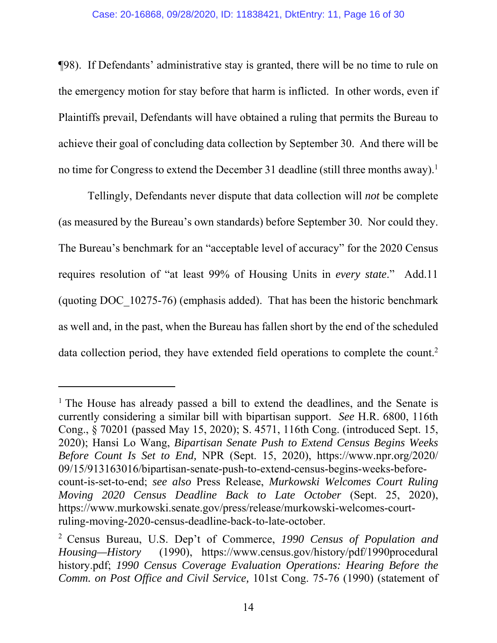¶98). If Defendants' administrative stay is granted, there will be no time to rule on the emergency motion for stay before that harm is inflicted. In other words, even if Plaintiffs prevail, Defendants will have obtained a ruling that permits the Bureau to achieve their goal of concluding data collection by September 30. And there will be no time for Congress to extend the December 31 deadline (still three months away).<sup>1</sup>

Tellingly, Defendants never dispute that data collection will *not* be complete (as measured by the Bureau's own standards) before September 30. Nor could they. The Bureau's benchmark for an "acceptable level of accuracy" for the 2020 Census requires resolution of "at least 99% of Housing Units in *every state*." Add.11 (quoting DOC\_10275-76) (emphasis added). That has been the historic benchmark as well and, in the past, when the Bureau has fallen short by the end of the scheduled data collection period, they have extended field operations to complete the count.<sup>2</sup>

-

<sup>&</sup>lt;sup>1</sup> The House has already passed a bill to extend the deadlines, and the Senate is currently considering a similar bill with bipartisan support. *See* H.R. 6800, 116th Cong., § 70201 (passed May 15, 2020); S. 4571, 116th Cong. (introduced Sept. 15, 2020); Hansi Lo Wang, *Bipartisan Senate Push to Extend Census Begins Weeks Before Count Is Set to End,* NPR (Sept. 15, 2020), https://www.npr.org/2020/ 09/15/913163016/bipartisan-senate-push-to-extend-census-begins-weeks-beforecount-is-set-to-end; *see also* Press Release, *Murkowski Welcomes Court Ruling Moving 2020 Census Deadline Back to Late October* (Sept. 25, 2020), https://www.murkowski.senate.gov/press/release/murkowski-welcomes-courtruling-moving-2020-census-deadline-back-to-late-october.

<sup>2</sup> Census Bureau, U.S. Dep't of Commerce, *1990 Census of Population and Housing—History* (1990), https://www.census.gov/history/pdf/1990procedural history.pdf; *1990 Census Coverage Evaluation Operations: Hearing Before the Comm. on Post Office and Civil Service,* 101st Cong. 75-76 (1990) (statement of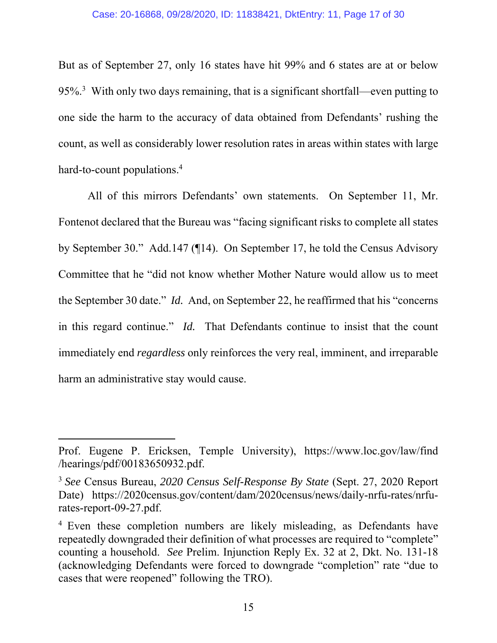But as of September 27, only 16 states have hit 99% and 6 states are at or below 95%.<sup>3</sup> With only two days remaining, that is a significant shortfall—even putting to one side the harm to the accuracy of data obtained from Defendants' rushing the count, as well as considerably lower resolution rates in areas within states with large hard-to-count populations.<sup>4</sup>

All of this mirrors Defendants' own statements. On September 11, Mr. Fontenot declared that the Bureau was "facing significant risks to complete all states by September 30." Add.147 (¶14). On September 17, he told the Census Advisory Committee that he "did not know whether Mother Nature would allow us to meet the September 30 date." *Id.* And, on September 22, he reaffirmed that his "concerns in this regard continue." *Id.* That Defendants continue to insist that the count immediately end *regardless* only reinforces the very real, imminent, and irreparable harm an administrative stay would cause.

-

Prof. Eugene P. Ericksen, Temple University), https://www.loc.gov/law/find /hearings/pdf/00183650932.pdf.

<sup>3</sup> *See* Census Bureau, *2020 Census Self-Response By State* (Sept. 27, 2020 Report Date) https://2020census.gov/content/dam/2020census/news/daily-nrfu-rates/nrfurates-report-09-27.pdf.

<sup>&</sup>lt;sup>4</sup> Even these completion numbers are likely misleading, as Defendants have repeatedly downgraded their definition of what processes are required to "complete" counting a household. *See* Prelim. Injunction Reply Ex. 32 at 2, Dkt. No. 131-18 (acknowledging Defendants were forced to downgrade "completion" rate "due to cases that were reopened" following the TRO).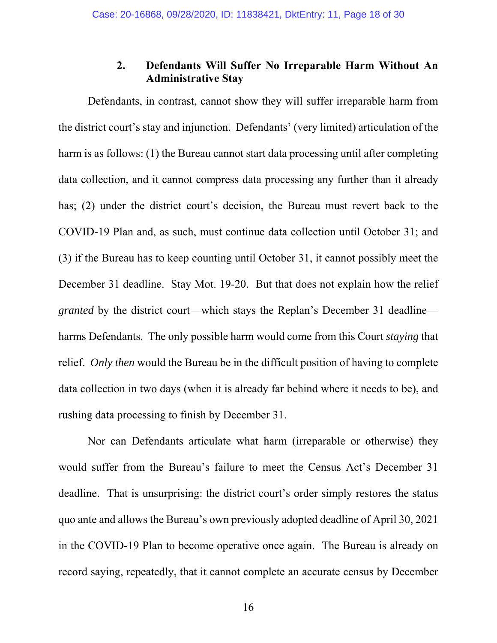## **2. Defendants Will Suffer No Irreparable Harm Without An Administrative Stay**

Defendants, in contrast, cannot show they will suffer irreparable harm from the district court's stay and injunction. Defendants' (very limited) articulation of the harm is as follows: (1) the Bureau cannot start data processing until after completing data collection, and it cannot compress data processing any further than it already has; (2) under the district court's decision, the Bureau must revert back to the COVID-19 Plan and, as such, must continue data collection until October 31; and (3) if the Bureau has to keep counting until October 31, it cannot possibly meet the December 31 deadline. Stay Mot. 19-20. But that does not explain how the relief *granted* by the district court—which stays the Replan's December 31 deadline harms Defendants. The only possible harm would come from this Court *staying* that relief. *Only then* would the Bureau be in the difficult position of having to complete data collection in two days (when it is already far behind where it needs to be), and rushing data processing to finish by December 31.

Nor can Defendants articulate what harm (irreparable or otherwise) they would suffer from the Bureau's failure to meet the Census Act's December 31 deadline. That is unsurprising: the district court's order simply restores the status quo ante and allows the Bureau's own previously adopted deadline of April 30, 2021 in the COVID-19 Plan to become operative once again. The Bureau is already on record saying, repeatedly, that it cannot complete an accurate census by December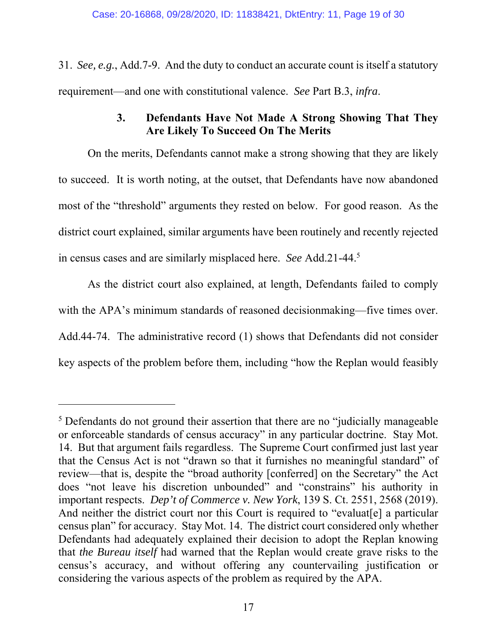31. *See, e.g.*, Add.7-9. And the duty to conduct an accurate count is itself a statutory requirement—and one with constitutional valence. *See* Part B.3, *infra*.

## **3. Defendants Have Not Made A Strong Showing That They Are Likely To Succeed On The Merits**

On the merits, Defendants cannot make a strong showing that they are likely to succeed. It is worth noting, at the outset, that Defendants have now abandoned most of the "threshold" arguments they rested on below. For good reason. As the district court explained, similar arguments have been routinely and recently rejected in census cases and are similarly misplaced here. *See* Add.21-44.5

As the district court also explained, at length, Defendants failed to comply with the APA's minimum standards of reasoned decision making—five times over. Add.44-74. The administrative record (1) shows that Defendants did not consider key aspects of the problem before them, including "how the Replan would feasibly

-

<sup>&</sup>lt;sup>5</sup> Defendants do not ground their assertion that there are no "judicially manageable or enforceable standards of census accuracy" in any particular doctrine. Stay Mot. 14. But that argument fails regardless. The Supreme Court confirmed just last year that the Census Act is not "drawn so that it furnishes no meaningful standard" of review—that is, despite the "broad authority [conferred] on the Secretary" the Act does "not leave his discretion unbounded" and "constrains" his authority in important respects. *Dep't of Commerce v. New York*, 139 S. Ct. 2551, 2568 (2019). And neither the district court nor this Court is required to "evaluat<sup>[e]</sup> a particular census plan" for accuracy. Stay Mot. 14. The district court considered only whether Defendants had adequately explained their decision to adopt the Replan knowing that *the Bureau itself* had warned that the Replan would create grave risks to the census's accuracy, and without offering any countervailing justification or considering the various aspects of the problem as required by the APA.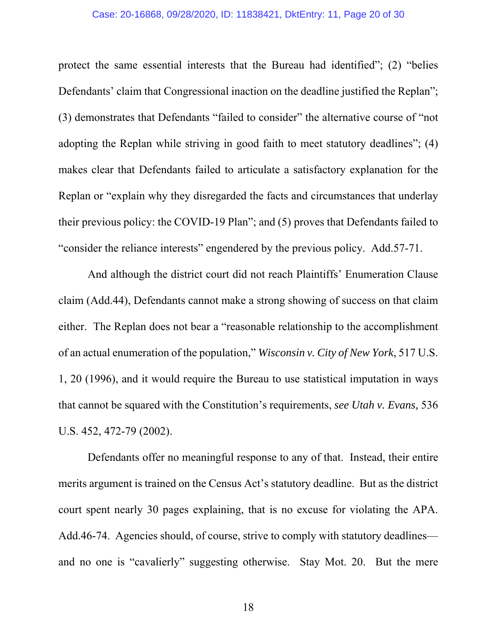#### Case: 20-16868, 09/28/2020, ID: 11838421, DktEntry: 11, Page 20 of 30

protect the same essential interests that the Bureau had identified"; (2) "belies Defendants' claim that Congressional inaction on the deadline justified the Replan"; (3) demonstrates that Defendants "failed to consider" the alternative course of "not adopting the Replan while striving in good faith to meet statutory deadlines"; (4) makes clear that Defendants failed to articulate a satisfactory explanation for the Replan or "explain why they disregarded the facts and circumstances that underlay their previous policy: the COVID-19 Plan"; and (5) proves that Defendants failed to "consider the reliance interests" engendered by the previous policy. Add.57-71.

And although the district court did not reach Plaintiffs' Enumeration Clause claim (Add.44), Defendants cannot make a strong showing of success on that claim either. The Replan does not bear a "reasonable relationship to the accomplishment of an actual enumeration of the population," *Wisconsin v. City of New York*, 517 U.S. 1, 20 (1996), and it would require the Bureau to use statistical imputation in ways that cannot be squared with the Constitution's requirements, *see Utah v. Evans,* 536 U.S. 452, 472-79 (2002).

Defendants offer no meaningful response to any of that. Instead, their entire merits argument is trained on the Census Act's statutory deadline. But as the district court spent nearly 30 pages explaining, that is no excuse for violating the APA. Add.46-74. Agencies should, of course, strive to comply with statutory deadlines and no one is "cavalierly" suggesting otherwise. Stay Mot. 20. But the mere

18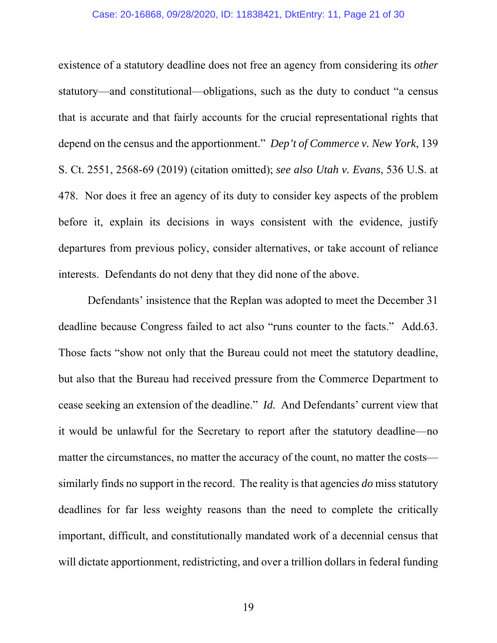#### Case: 20-16868, 09/28/2020, ID: 11838421, DktEntry: 11, Page 21 of 30

existence of a statutory deadline does not free an agency from considering its *other*  statutory—and constitutional—obligations, such as the duty to conduct "a census that is accurate and that fairly accounts for the crucial representational rights that depend on the census and the apportionment." *Dep't of Commerce v. New York*, 139 S. Ct. 2551, 2568-69 (2019) (citation omitted); *see also Utah v. Evans*, 536 U.S. at 478. Nor does it free an agency of its duty to consider key aspects of the problem before it, explain its decisions in ways consistent with the evidence, justify departures from previous policy, consider alternatives, or take account of reliance interests. Defendants do not deny that they did none of the above.

Defendants' insistence that the Replan was adopted to meet the December 31 deadline because Congress failed to act also "runs counter to the facts." Add.63. Those facts "show not only that the Bureau could not meet the statutory deadline, but also that the Bureau had received pressure from the Commerce Department to cease seeking an extension of the deadline." *Id.* And Defendants' current view that it would be unlawful for the Secretary to report after the statutory deadline—no matter the circumstances, no matter the accuracy of the count, no matter the costs similarly finds no support in the record. The reality is that agencies *do* miss statutory deadlines for far less weighty reasons than the need to complete the critically important, difficult, and constitutionally mandated work of a decennial census that will dictate apportionment, redistricting, and over a trillion dollars in federal funding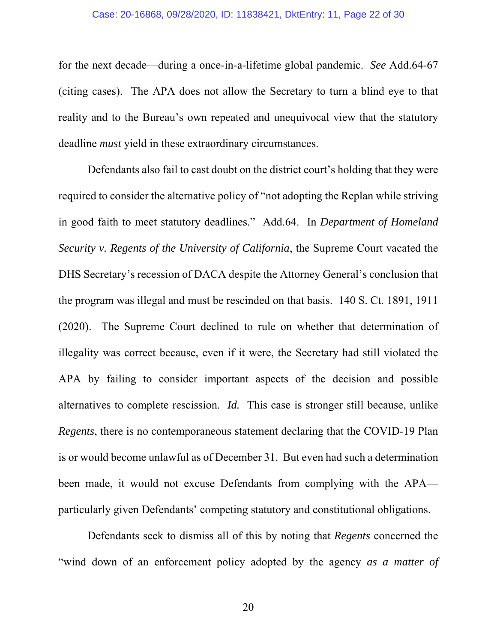#### Case: 20-16868, 09/28/2020, ID: 11838421, DktEntry: 11, Page 22 of 30

for the next decade—during a once-in-a-lifetime global pandemic. *See* Add.64-67 (citing cases). The APA does not allow the Secretary to turn a blind eye to that reality and to the Bureau's own repeated and unequivocal view that the statutory deadline *must* yield in these extraordinary circumstances.

Defendants also fail to cast doubt on the district court's holding that they were required to consider the alternative policy of "not adopting the Replan while striving in good faith to meet statutory deadlines." Add.64. In *Department of Homeland Security v. Regents of the University of California*, the Supreme Court vacated the DHS Secretary's recession of DACA despite the Attorney General's conclusion that the program was illegal and must be rescinded on that basis. 140 S. Ct. 1891, 1911 (2020). The Supreme Court declined to rule on whether that determination of illegality was correct because, even if it were, the Secretary had still violated the APA by failing to consider important aspects of the decision and possible alternatives to complete rescission. *Id.* This case is stronger still because, unlike *Regents*, there is no contemporaneous statement declaring that the COVID-19 Plan is or would become unlawful as of December 31. But even had such a determination been made, it would not excuse Defendants from complying with the APA particularly given Defendants' competing statutory and constitutional obligations.

Defendants seek to dismiss all of this by noting that *Regents* concerned the "wind down of an enforcement policy adopted by the agency *as a matter of*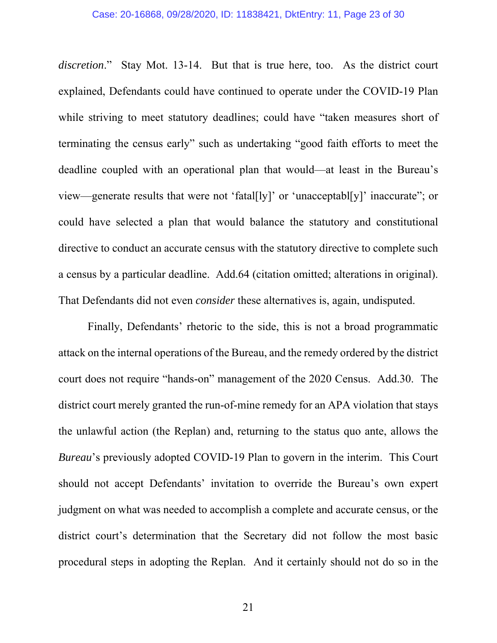*discretion*." Stay Mot. 13-14. But that is true here, too. As the district court explained, Defendants could have continued to operate under the COVID-19 Plan while striving to meet statutory deadlines; could have "taken measures short of terminating the census early" such as undertaking "good faith efforts to meet the deadline coupled with an operational plan that would—at least in the Bureau's view—generate results that were not 'fatal[ly]' or 'unacceptabl[y]' inaccurate"; or could have selected a plan that would balance the statutory and constitutional directive to conduct an accurate census with the statutory directive to complete such a census by a particular deadline. Add.64 (citation omitted; alterations in original). That Defendants did not even *consider* these alternatives is, again, undisputed.

Finally, Defendants' rhetoric to the side, this is not a broad programmatic attack on the internal operations of the Bureau, and the remedy ordered by the district court does not require "hands-on" management of the 2020 Census. Add.30. The district court merely granted the run-of-mine remedy for an APA violation that stays the unlawful action (the Replan) and, returning to the status quo ante, allows the *Bureau*'s previously adopted COVID-19 Plan to govern in the interim. This Court should not accept Defendants' invitation to override the Bureau's own expert judgment on what was needed to accomplish a complete and accurate census, or the district court's determination that the Secretary did not follow the most basic procedural steps in adopting the Replan. And it certainly should not do so in the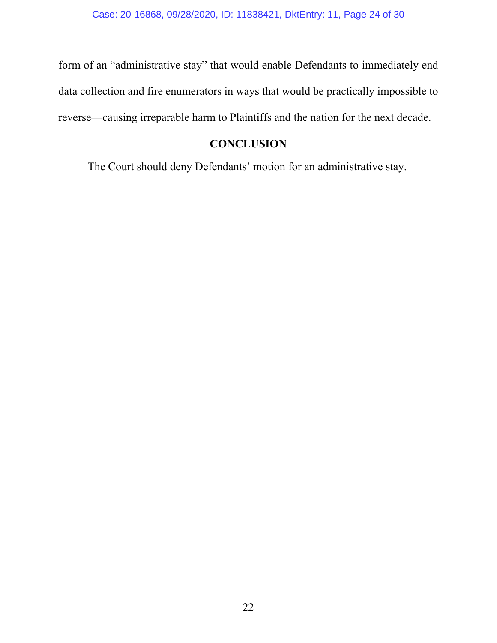form of an "administrative stay" that would enable Defendants to immediately end data collection and fire enumerators in ways that would be practically impossible to reverse—causing irreparable harm to Plaintiffs and the nation for the next decade.

## **CONCLUSION**

The Court should deny Defendants' motion for an administrative stay.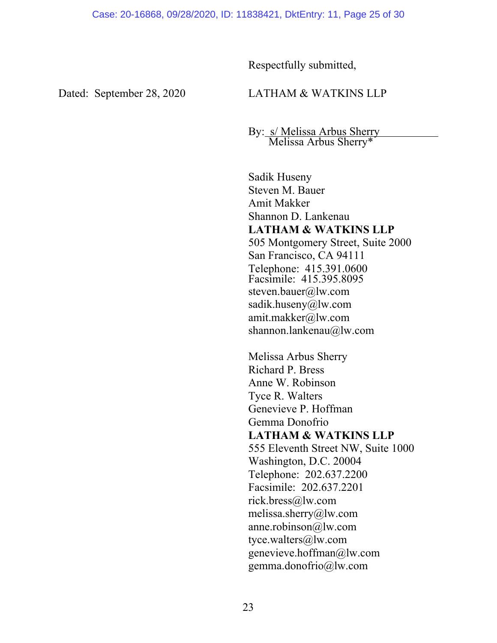Respectfully submitted,

Dated: September 28, 2020 LATHAM & WATKINS LLP

By: s/ Melissa Arbus Sherry Melissa Arbus Sherry\*

Sadik Huseny Steven M. Bauer Amit Makker Shannon D. Lankenau **LATHAM & WATKINS LLP**  505 Montgomery Street, Suite 2000 San Francisco, CA 94111 Telephone: 415.391.0600 Facsimile: 415.395.8095 steven.bauer@lw.com sadik.huseny@lw.com amit.makker@lw.com shannon.lankenau@lw.com

Melissa Arbus Sherry Richard P. Bress Anne W. Robinson Tyce R. Walters Genevieve P. Hoffman Gemma Donofrio **LATHAM & WATKINS LLP** 555 Eleventh Street NW, Suite 1000 Washington, D.C. 20004 Telephone: 202.637.2200 Facsimile: 202.637.2201 rick.bress@lw.com melissa.sherry@lw.com anne.robinson@lw.com tyce.walters@lw.com genevieve.hoffman@lw.com gemma.donofrio@lw.com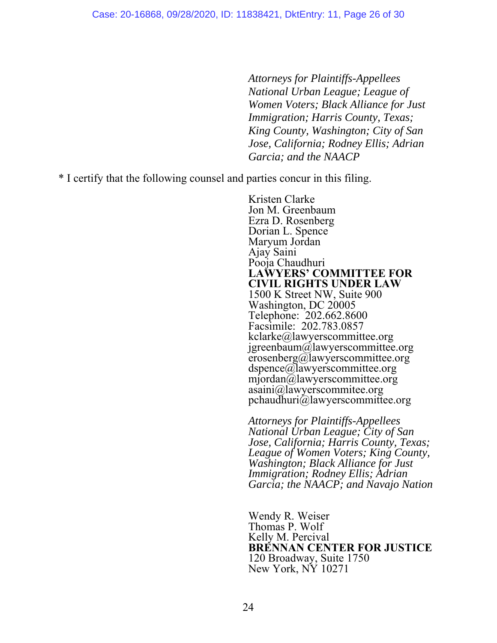*Attorneys for Plaintiffs-Appellees National Urban League; League of Women Voters; Black Alliance for Just Immigration; Harris County, Texas; King County, Washington; City of San Jose, California; Rodney Ellis; Adrian Garcia; and the NAACP* 

\* I certify that the following counsel and parties concur in this filing.

Kristen Clarke Jon M. Greenbaum Ezra D. Rosenberg Dorian L. Spence Maryum Jordan Ajay Saini Pooja Chaudhuri **LAWYERS' COMMITTEE FOR CIVIL RIGHTS UNDER LAW** 1500 K Street NW, Suite 900 Washington, DC 20005 Telephone: 202.662.8600 Facsimile: 202.783.0857 kclarke@lawyerscommittee.org jgreenbaum@lawyerscommittee.org erosenberg@lawyerscommittee.org dspence@lawyerscommittee.org mjordan@lawyerscommittee.org asaini@lawyerscommitee.org pchaudhuri@lawyerscommittee.org

*Attorneys for Plaintiffs-Appellees National Urban League; City of San Jose, California; Harris County, Texas; League of Women Voters; King County, Washington; Black Alliance for Just Immigration; Rodney Ellis; Adrian Garcia; the NAACP; and Navajo Nation* 

Wendy R. Weiser Thomas P. Wolf Kelly M. Percival **BRENNAN CENTER FOR JUSTICE**  120 Broadway, Suite 1750 New York, NY 10271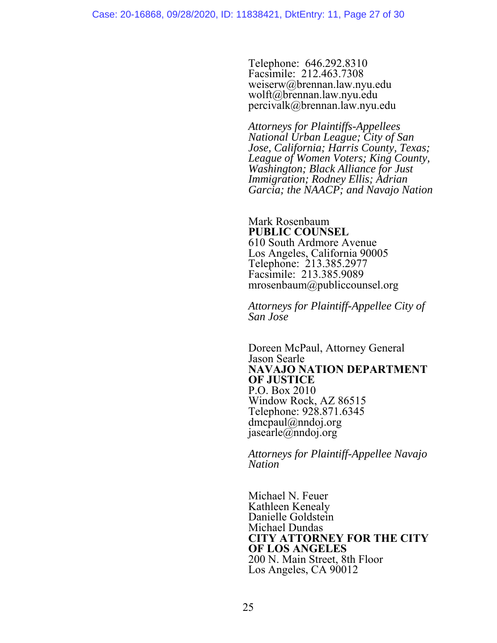Telephone: 646.292.8310 Facsimile: 212.463.7308 weiserw@brennan.law.nyu.edu wolft@brennan.law.nyu.edu percivalk@brennan.law.nyu.edu

*Attorneys for Plaintiffs-Appellees National Urban League; City of San Jose, California; Harris County, Texas; League of Women Voters; King County, Washington; Black Alliance for Just Immigration; Rodney Ellis; Adrian Garcia; the NAACP; and Navajo Nation* 

Mark Rosenbaum **PUBLIC COUNSEL** 610 South Ardmore Avenue Los Angeles, California 90005 Telephone: 213.385.2977 Facsimile: 213.385.9089 mrosenbaum@publiccounsel.org

*Attorneys for Plaintiff-Appellee City of San Jose* 

Doreen McPaul, Attorney General Jason Searle **NAVAJO NATION DEPARTMENT OF JUSTICE** P.O. Box 2010 Window Rock, AZ 86515 Telephone: 928.871.6345 dmcpaul@nndoj.org jasearle@nndoj.org

*Attorneys for Plaintiff-Appellee Navajo Nation* 

Michael N. Feuer Kathleen Kenealy Danielle Goldstein Michael Dundas **CITY ATTORNEY FOR THE CITY OF LOS ANGELES** 200 N. Main Street, 8th Floor Los Angeles, CA 90012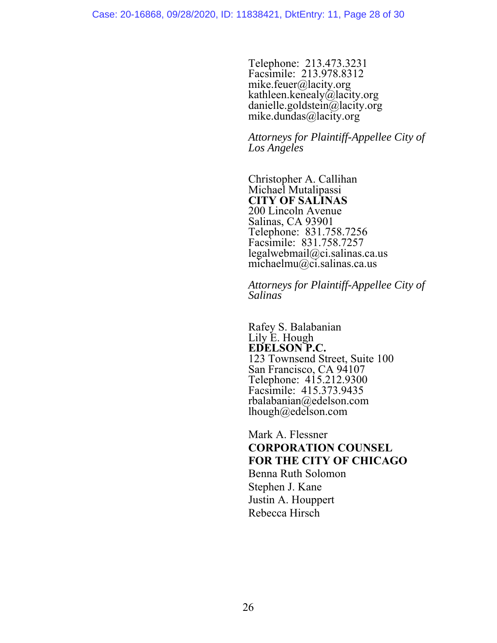Telephone: 213.473.3231 Facsimile: 213.978.8312 mike.feuer@lacity.org kathleen.kenealy@lacity.org danielle.goldstein@lacity.org mike.dundas@lacity.org

*Attorneys for Plaintiff-Appellee City of Los Angeles* 

Christopher A. Callihan Michael Mutalipassi **CITY OF SALINAS** 200 Lincoln Avenue Salinas, CA 93901 Telephone: 831.758.7256 Facsimile: 831.758.7257 legalwebmail@ci.salinas.ca.us michaelmu@ci.salinas.ca.us

*Attorneys for Plaintiff-Appellee City of Salinas* 

 Rafey S. Balabanian Lily E. Hough **EDELSON P.C.** 123 Townsend Street, Suite 100 San Francisco, CA 94107 Telephone: 415.212.9300 Facsimile: 415.373.9435 rbalabanian@edelson.com lhough@edelson.com

Mark A. Flessner **CORPORATION COUNSEL FOR THE CITY OF CHICAGO**  Benna Ruth Solomon Stephen J. Kane Justin A. Houppert Rebecca Hirsch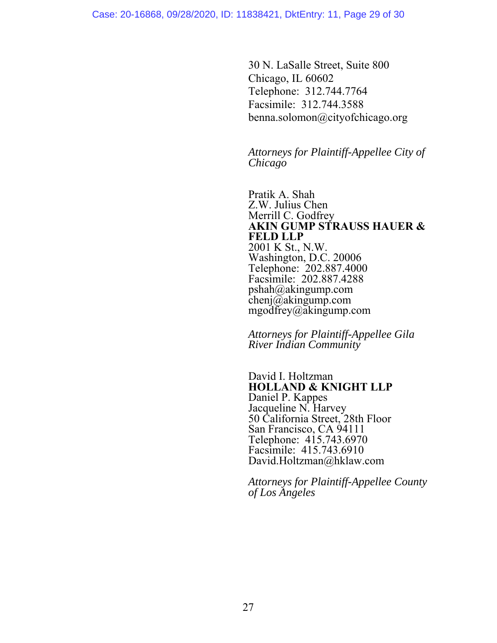30 N. LaSalle Street, Suite 800 Chicago, IL 60602 Telephone: 312.744.7764 Facsimile: 312.744.3588 benna.solomon@cityofchicago.org

*Attorneys for Plaintiff-Appellee City of Chicago* 

Pratik A. Shah Z.W. Julius Chen Merrill C. Godfrey **AKIN GUMP STRAUSS HAUER & FELD LLP**  2001 K St., N.W. Washington, D.C. 20006 Telephone: 202.887.4000 Facsimile: 202.887.4288 pshah@akingump.com chenj $\overline{\omega}$ akingump.com mgodfrey@akingump.com

*Attorneys for Plaintiff-Appellee Gila River Indian Community*

David I. Holtzman **HOLLAND & KNIGHT LLP**  Daniel P. Kappes Jacqueline N. Harvey 50 California Street, 28th Floor San Francisco, CA 94111 Telephone: 415.743.6970 Facsimile: 415.743.6910 David.Holtzman@hklaw.com

*Attorneys for Plaintiff-Appellee County of Los Angeles*